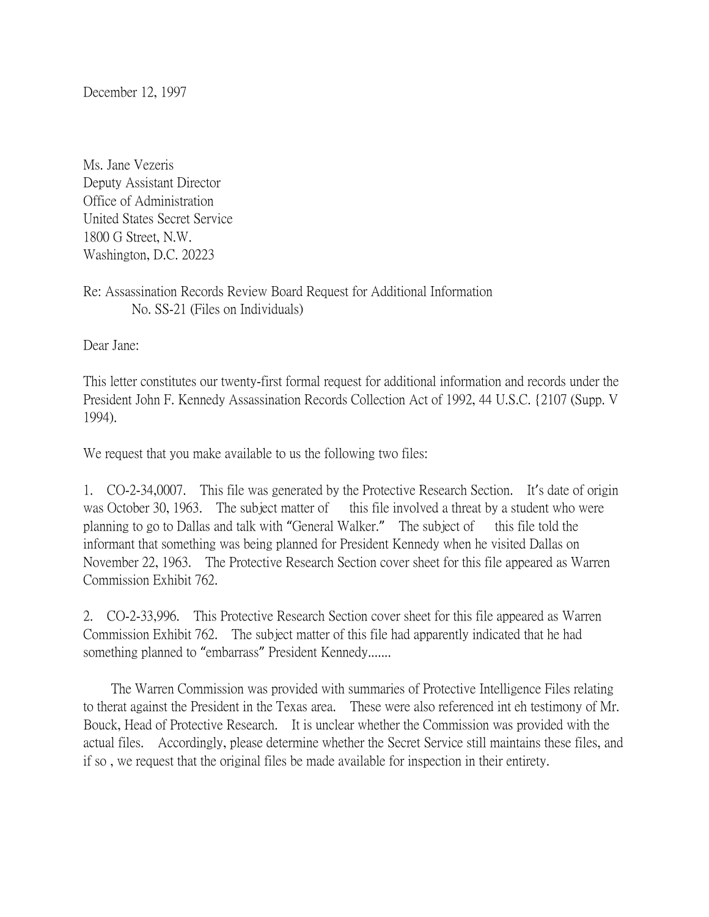December 12, 1997

Ms. Jane Vezeris Deputy Assistant Director Office of Administration United States Secret Service 1800 G Street, N.W. Washington, D.C. 20223

Re: Assassination Records Review Board Request for Additional Information No. SS-21 (Files on Individuals)

Dear Jane:

This letter constitutes our twenty-first formal request for additional information and records under the President John F. Kennedy Assassination Records Collection Act of 1992, 44 U.S.C. {2107 (Supp. V 1994).

We request that you make available to us the following two files:

1. CO-2-34,0007. This file was generated by the Protective Research Section. It's date of origin was October 30, 1963. The subject matter of this file involved a threat by a student who were planning to go to Dallas and talk with "General Walker." The subject of this file told the informant that something was being planned for President Kennedy when he visited Dallas on November 22, 1963. The Protective Research Section cover sheet for this file appeared as Warren Commission Exhibit 762.

2. CO-2-33,996. This Protective Research Section cover sheet for this file appeared as Warren Commission Exhibit 762. The subject matter of this file had apparently indicated that he had something planned to "embarrass" President Kennedy.......

 The Warren Commission was provided with summaries of Protective Intelligence Files relating to therat against the President in the Texas area. These were also referenced int eh testimony of Mr. Bouck, Head of Protective Research. It is unclear whether the Commission was provided with the actual files. Accordingly, please determine whether the Secret Service still maintains these files, and if so , we request that the original files be made available for inspection in their entirety.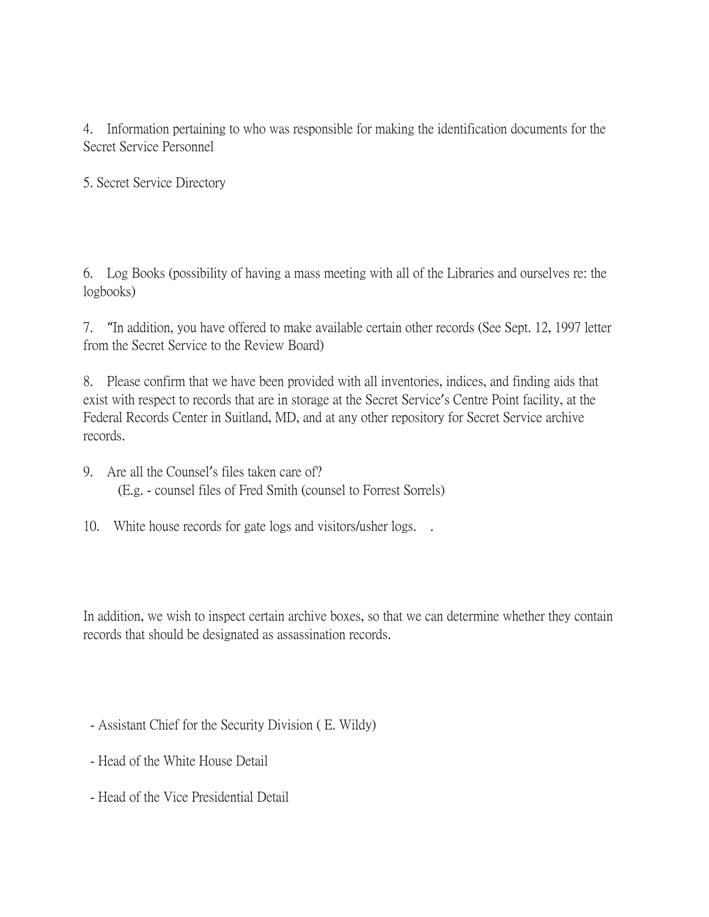4. Information pertaining to who was responsible for making the identification documents for the Secret Service Personnel

5. Secret Service Directory

6. Log Books (possibility of having a mass meeting with all of the Libraries and ourselves re: the logbooks)

7. "In addition, you have offered to make available certain other records (See Sept. 12, 1997 letter from the Secret Service to the Review Board)

8. Please confirm that we have been provided with all inventories, indices, and finding aids that exist with respect to records that are in storage at the Secret Service's Centre Point facility, at the Federal Records Center in Suitland, MD, and at any other repository for Secret Service archive records.

9. Are all the Counsel's files taken care of? (E.g. - counsel files of Fred Smith (counsel to Forrest Sorrels)

10. White house records for gate logs and visitors/usher logs. .

In addition, we wish to inspect certain archive boxes, so that we can determine whether they contain records that should be designated as assassination records.

- Assistant Chief for the Security Division ( E. Wildy)
- Head of the White House Detail
- Head of the Vice Presidential Detail